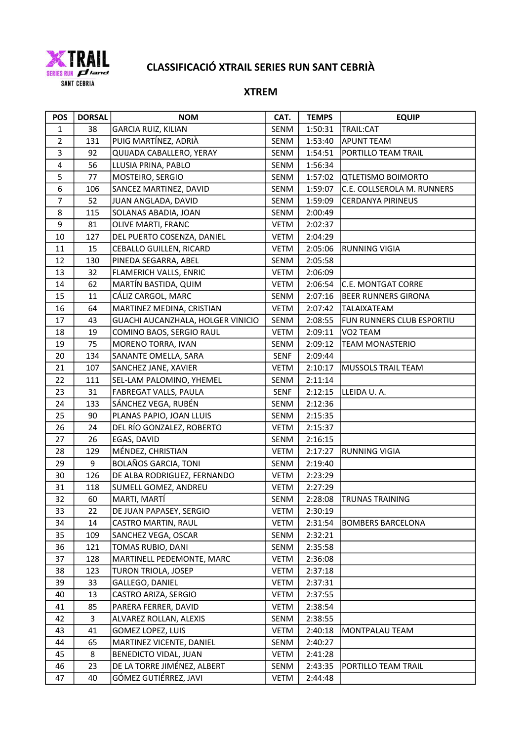

# CLASSIFICACIÓ XTRAIL SERIES RUN SANT CEBRIÀ

### XTREM

| <b>POS</b>     | <b>DORSAL</b> | <b>NOM</b>                        | CAT.        | <b>TEMPS</b> | <b>EQUIP</b>               |
|----------------|---------------|-----------------------------------|-------------|--------------|----------------------------|
| $\mathbf{1}$   | 38            | <b>GARCIA RUIZ, KILIAN</b>        | SENM        | 1:50:31      | TRAIL:CAT                  |
| $\overline{2}$ | 131           | PUIG MARTÍNEZ, ADRIÀ              | SENM        | 1:53:40      | <b>APUNT TEAM</b>          |
| 3              | 92            | QUIJADA CABALLERO, YERAY          | SENM        | 1:54:51      | PORTILLO TEAM TRAIL        |
| 4              | 56            | LLUSIA PRINA, PABLO               | SENM        | 1:56:34      |                            |
| 5              | 77            | MOSTEIRO, SERGIO                  | SENM        | 1:57:02      | <b>QTLETISMO BOIMORTO</b>  |
| 6              | 106           | SANCEZ MARTINEZ, DAVID            | SENM        | 1:59:07      | C.E. COLLSEROLA M. RUNNERS |
| $\overline{7}$ | 52            | JUAN ANGLADA, DAVID               | SENM        | 1:59:09      | <b>CERDANYA PIRINEUS</b>   |
| 8              | 115           | SOLANAS ABADIA, JOAN              | SENM        | 2:00:49      |                            |
| 9              | 81            | OLIVE MARTI, FRANC                | <b>VETM</b> | 2:02:37      |                            |
| 10             | 127           | DEL PUERTO COSENZA, DANIEL        | <b>VETM</b> | 2:04:29      |                            |
| 11             | 15            | CEBALLO GUILLEN, RICARD           | <b>VETM</b> | 2:05:06      | <b>RUNNING VIGIA</b>       |
| 12             | 130           | PINEDA SEGARRA, ABEL              | SENM        | 2:05:58      |                            |
| 13             | 32            | FLAMERICH VALLS, ENRIC            | <b>VETM</b> | 2:06:09      |                            |
| 14             | 62            | MARTÍN BASTIDA, QUIM              | VETM        | 2:06:54      | C.E. MONTGAT CORRE         |
| 15             | 11            | CÁLIZ CARGOL, MARC                | SENM        | 2:07:16      | <b>BEER RUNNERS GIRONA</b> |
| 16             | 64            | MARTINEZ MEDINA, CRISTIAN         | <b>VETM</b> | 2:07:42      | TALAIXATEAM                |
| 17             | 43            | GUACHI AUCANZHALA, HOLGER VINICIO | SENM        | 2:08:55      | FUN RUNNERS CLUB ESPORTIU  |
| 18             | 19            | COMINO BAOS, SERGIO RAUL          | <b>VETM</b> | 2:09:11      | VO2 TEAM                   |
| 19             | 75            | MORENO TORRA, IVAN                | SENM        | 2:09:12      | <b>TEAM MONASTERIO</b>     |
| 20             | 134           | SANANTE OMELLA, SARA              | <b>SENF</b> | 2:09:44      |                            |
| 21             | 107           | SANCHEZ JANE, XAVIER              | <b>VETM</b> | 2:10:17      | MUSSOLS TRAIL TEAM         |
| 22             | 111           | SEL-LAM PALOMINO, YHEMEL          | SENM        | 2:11:14      |                            |
| 23             | 31            | FABREGAT VALLS, PAULA             | <b>SENF</b> | 2:12:15      | LLEIDA U.A.                |
| 24             | 133           | SÁNCHEZ VEGA, RUBÉN               | SENM        | 2:12:36      |                            |
| 25             | 90            | PLANAS PAPIO, JOAN LLUIS          | SENM        | 2:15:35      |                            |
| 26             | 24            | DEL RÍO GONZALEZ, ROBERTO         | <b>VETM</b> | 2:15:37      |                            |
| 27             | 26            | EGAS, DAVID                       | SENM        | 2:16:15      |                            |
| 28             | 129           | MÉNDEZ, CHRISTIAN                 | <b>VETM</b> | 2:17:27      | <b>RUNNING VIGIA</b>       |
| 29             | 9             | <b>BOLAÑOS GARCIA, TONI</b>       | SENM        | 2:19:40      |                            |
| 30             | 126           | DE ALBA RODRIGUEZ, FERNANDO       | <b>VETM</b> | 2:23:29      |                            |
| 31             | 118           | SUMELL GOMEZ, ANDREU              | <b>VETM</b> | 2:27:29      |                            |
| 32             | 60            | MARTI, MARTÍ                      | SENM        | 2:28:08      | <b>TRUNAS TRAINING</b>     |
| 33             | 22            | DE JUAN PAPASEY, SERGIO           | <b>VETM</b> | 2:30:19      |                            |
| 34             | 14            | <b>CASTRO MARTIN, RAUL</b>        | <b>VETM</b> | 2:31:54      | <b>BOMBERS BARCELONA</b>   |
| 35             | 109           | SANCHEZ VEGA, OSCAR               | SENM        | 2:32:21      |                            |
| 36             | 121           | TOMAS RUBIO, DANI                 | SENM        | 2:35:58      |                            |
| 37             | 128           | MARTINELL PEDEMONTE, MARC         | <b>VETM</b> | 2:36:08      |                            |
| 38             | 123           | TURON TRIOLA, JOSEP               | <b>VETM</b> | 2:37:18      |                            |
| 39             | 33            | GALLEGO, DANIEL                   | <b>VETM</b> | 2:37:31      |                            |
| 40             | 13            | CASTRO ARIZA, SERGIO              | <b>VETM</b> | 2:37:55      |                            |
| 41             | 85            | PARERA FERRER, DAVID              | <b>VETM</b> | 2:38:54      |                            |
| 42             | 3             | ALVAREZ ROLLAN, ALEXIS            | SENM        | 2:38:55      |                            |
| 43             | 41            | GOMEZ LOPEZ, LUIS                 | <b>VETM</b> | 2:40:18      | MONTPALAU TEAM             |
| 44             | 65            | MARTINEZ VICENTE, DANIEL          | SENM        | 2:40:27      |                            |
| 45             | 8             | BENEDICTO VIDAL, JUAN             | <b>VETM</b> | 2:41:28      |                            |
| 46             | 23            | DE LA TORRE JIMÉNEZ, ALBERT       | SENM        | 2:43:35      | PORTILLO TEAM TRAIL        |
| 47             | 40            | GÓMEZ GUTIÉRREZ, JAVI             | <b>VETM</b> | 2:44:48      |                            |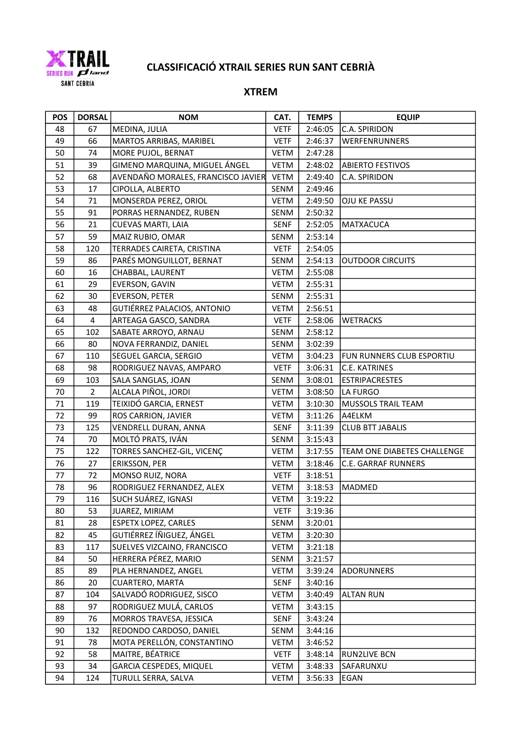

# CLASSIFICACIÓ XTRAIL SERIES RUN SANT CEBRIÀ

### XTREM

| <b>POS</b> | <b>DORSAL</b>           | <b>NOM</b>                         | CAT.        | <b>TEMPS</b> | <b>EQUIP</b>                |
|------------|-------------------------|------------------------------------|-------------|--------------|-----------------------------|
| 48         | 67                      | MEDINA, JULIA                      | <b>VETF</b> | 2:46:05      | C.A. SPIRIDON               |
| 49         | 66                      | MARTOS ARRIBAS, MARIBEL            | <b>VETF</b> | 2:46:37      | WERFENRUNNERS               |
| 50         | 74                      | MORE PUJOL, BERNAT                 | VETM        | 2:47:28      |                             |
| 51         | 39                      | GIMENO MARQUINA, MIGUEL ÁNGEL      | <b>VETM</b> | 2:48:02      | <b>ABIERTO FESTIVOS</b>     |
| 52         | 68                      | AVENDAÑO MORALES, FRANCISCO JAVIER | <b>VETM</b> | 2:49:40      | C.A. SPIRIDON               |
| 53         | 17                      | CIPOLLA, ALBERTO                   | SENM        | 2:49:46      |                             |
| 54         | 71                      | MONSERDA PEREZ, ORIOL              | <b>VETM</b> | 2:49:50      | OJU KE PASSU                |
| 55         | 91                      | PORRAS HERNANDEZ, RUBEN            | SENM        | 2:50:32      |                             |
| 56         | 21                      | CUEVAS MARTI, LAIA                 | <b>SENF</b> | 2:52:05      | <b>MATXACUCA</b>            |
| 57         | 59                      | MAIZ RUBIO, OMAR                   | SENM        | 2:53:14      |                             |
| 58         | 120                     | TERRADES CAIRETA, CRISTINA         | <b>VETF</b> | 2:54:05      |                             |
| 59         | 86                      | PARÉS MONGUILLOT, BERNAT           | SENM        | 2:54:13      | <b>OUTDOOR CIRCUITS</b>     |
| 60         | 16                      | CHABBAL, LAURENT                   | <b>VETM</b> | 2:55:08      |                             |
| 61         | 29                      | EVERSON, GAVIN                     | <b>VETM</b> | 2:55:31      |                             |
| 62         | 30                      | <b>EVERSON, PETER</b>              | SENM        | 2:55:31      |                             |
| 63         | 48                      | GUTIÉRREZ PALACIOS, ANTONIO        | <b>VETM</b> | 2:56:51      |                             |
| 64         | $\overline{\mathbf{4}}$ | ARTEAGA GASCO, SANDRA              | <b>VETF</b> | 2:58:06      | <b>WETRACKS</b>             |
| 65         | 102                     | SABATE ARROYO, ARNAU               | SENM        | 2:58:12      |                             |
| 66         | 80                      | NOVA FERRANDIZ, DANIEL             | SENM        | 3:02:39      |                             |
| 67         | 110                     | SEGUEL GARCIA, SERGIO              | VETM        | 3:04:23      | FUN RUNNERS CLUB ESPORTIU   |
| 68         | 98                      | RODRIGUEZ NAVAS, AMPARO            | <b>VETF</b> | 3:06:31      | C.E. KATRINES               |
| 69         | 103                     | SALA SANGLAS, JOAN                 | SENM        | 3:08:01      | <b>ESTRIPACRESTES</b>       |
| 70         | $\overline{2}$          | ALCALA PIÑOL, JORDI                | <b>VETM</b> | 3:08:50      | LA FURGO                    |
| 71         | 119                     | TEIXIDÓ GARCIA, ERNEST             | <b>VETM</b> | 3:10:30      | <b>MUSSOLS TRAIL TEAM</b>   |
| 72         | 99                      | ROS CARRION, JAVIER                | VETM        | 3:11:26      | A4ELKM                      |
| 73         | 125                     | VENDRELL DURAN, ANNA               | <b>SENF</b> | 3:11:39      | <b>CLUB BTT JABALIS</b>     |
| 74         | 70                      | MOLTÓ PRATS, IVÁN                  | SENM        | 3:15:43      |                             |
| 75         | 122                     | TORRES SANCHEZ-GIL, VICENÇ         | <b>VETM</b> | 3:17:55      | TEAM ONE DIABETES CHALLENGE |
| 76         | 27                      | ERIKSSON, PER                      | <b>VETM</b> | 3:18:46      | <b>C.E. GARRAF RUNNERS</b>  |
| 77         | 72                      | MONSO RUIZ, NORA                   | <b>VETF</b> | 3:18:51      |                             |
| 78         | 96                      | RODRIGUEZ FERNANDEZ, ALEX          | <b>VETM</b> | 3:18:53      | MADMED                      |
| 79         | 116                     | SUCH SUÁREZ, IGNASI                | <b>VETM</b> | 3:19:22      |                             |
| 80         | 53                      | JUAREZ, MIRIAM                     | <b>VETF</b> | 3:19:36      |                             |
| 81         | 28                      | <b>ESPETX LOPEZ, CARLES</b>        | SENM        | 3:20:01      |                             |
| 82         | 45                      | GUTIÉRREZ ÍÑIGUEZ, ÁNGEL           | <b>VETM</b> | 3:20:30      |                             |
| 83         | 117                     | SUELVES VIZCAINO, FRANCISCO        | <b>VETM</b> | 3:21:18      |                             |
| 84         | 50                      | HERRERA PÉREZ, MARIO               | SENM        | 3:21:57      |                             |
| 85         | 89                      | PLA HERNANDEZ, ANGEL               | <b>VETM</b> | 3:39:24      | <b>ADORUNNERS</b>           |
| 86         | 20                      | CUARTERO, MARTA                    | <b>SENF</b> | 3:40:16      |                             |
| 87         | 104                     | SALVADÓ RODRIGUEZ, SISCO           | <b>VETM</b> | 3:40:49      | <b>ALTAN RUN</b>            |
| 88         | 97                      | RODRIGUEZ MULÁ, CARLOS             | <b>VETM</b> | 3:43:15      |                             |
| 89         | 76                      | MORROS TRAVESA, JESSICA            | <b>SENF</b> | 3:43:24      |                             |
| 90         | 132                     | REDONDO CARDOSO, DANIEL            | SENM        | 3:44:16      |                             |
| 91         | 78                      | MOTA PERELLÓN, CONSTANTINO         | <b>VETM</b> | 3:46:52      |                             |
| 92         | 58                      | MAITRE, BÉATRICE                   | <b>VETF</b> | 3:48:14      | RUN2LIVE BCN                |
| 93         | 34                      | GARCIA CESPEDES, MIQUEL            | <b>VETM</b> | 3:48:33      | SAFARUNXU                   |
| 94         | 124                     | TURULL SERRA, SALVA                | <b>VETM</b> | 3:56:33      | EGAN                        |